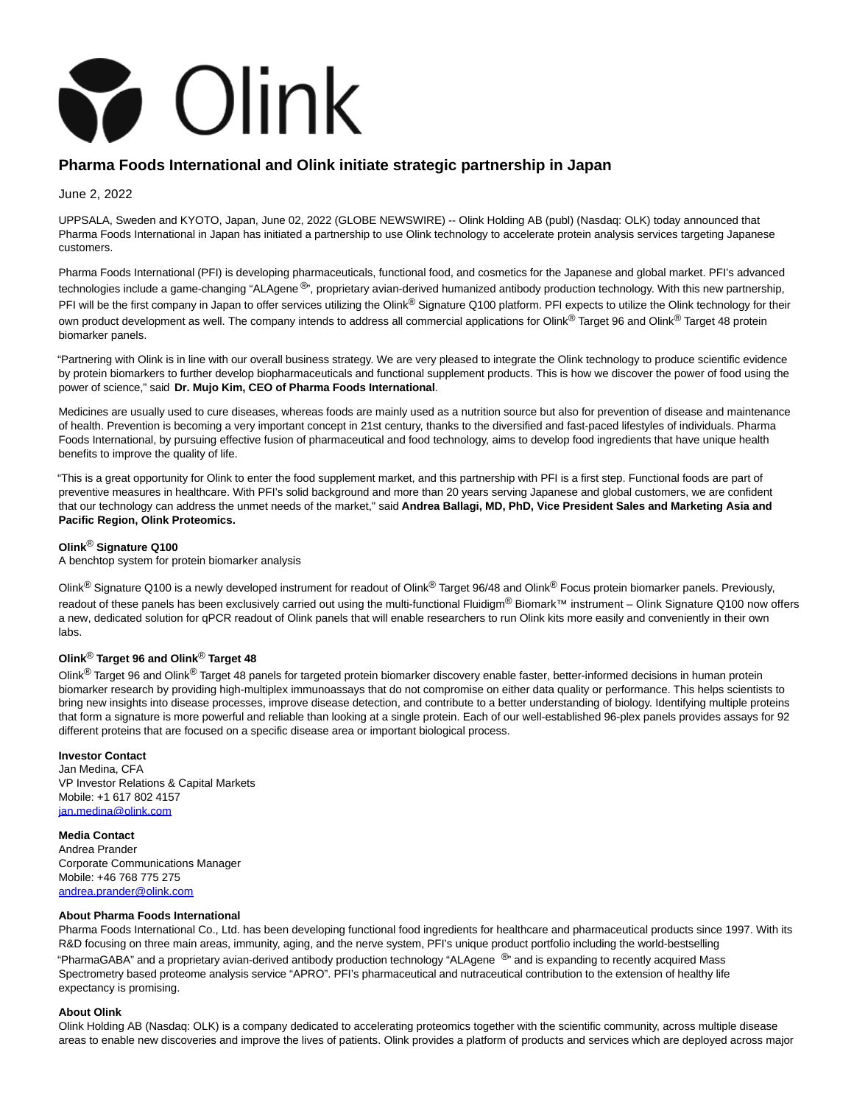

# **Pharma Foods International and Olink initiate strategic partnership in Japan**

June 2, 2022

UPPSALA, Sweden and KYOTO, Japan, June 02, 2022 (GLOBE NEWSWIRE) -- Olink Holding AB (publ) (Nasdaq: OLK) today announced that Pharma Foods International in Japan has initiated a partnership to use Olink technology to accelerate protein analysis services targeting Japanese customers.

Pharma Foods International (PFI) is developing pharmaceuticals, functional food, and cosmetics for the Japanese and global market. PFI's advanced technologies include a game-changing "ALAgene®", proprietary avian-derived humanized antibody production technology. With this new partnership, PFI will be the first company in Japan to offer services utilizing the Olink® Signature Q100 platform. PFI expects to utilize the Olink technology for their own product development as well. The company intends to address all commercial applications for Olink® Target 96 and Olink® Target 48 protein biomarker panels.

"Partnering with Olink is in line with our overall business strategy. We are very pleased to integrate the Olink technology to produce scientific evidence by protein biomarkers to further develop biopharmaceuticals and functional supplement products. This is how we discover the power of food using the power of science," said **Dr. Mujo Kim, CEO of Pharma Foods International**.

Medicines are usually used to cure diseases, whereas foods are mainly used as a nutrition source but also for prevention of disease and maintenance of health. Prevention is becoming a very important concept in 21st century, thanks to the diversified and fast-paced lifestyles of individuals. Pharma Foods International, by pursuing effective fusion of pharmaceutical and food technology, aims to develop food ingredients that have unique health benefits to improve the quality of life.

"This is a great opportunity for Olink to enter the food supplement market, and this partnership with PFI is a first step. Functional foods are part of preventive measures in healthcare. With PFI's solid background and more than 20 years serving Japanese and global customers, we are confident that our technology can address the unmet needs of the market," said **Andrea Ballagi, MD, PhD, Vice President Sales and Marketing Asia and Pacific Region, Olink Proteomics.**

## **Olink**® **Signature Q100**

A benchtop system for protein biomarker analysis

Olink<sup>®</sup> Signature Q100 is a newly developed instrument for readout of Olink<sup>®</sup> Target 96/48 and Olink<sup>®</sup> Focus protein biomarker panels. Previously, readout of these panels has been exclusively carried out using the multi-functional Fluidigm® Biomark™ instrument – Olink Signature Q100 now offers a new, dedicated solution for qPCR readout of Olink panels that will enable researchers to run Olink kits more easily and conveniently in their own labs.

### **Olink**® **Target 96 and Olink**® **Target 48**

Olink<sup>®</sup> Target 96 and Olink<sup>®</sup> Target 48 panels for targeted protein biomarker discovery enable faster, better-informed decisions in human protein biomarker research by providing high-multiplex immunoassays that do not compromise on either data quality or performance. This helps scientists to bring new insights into disease processes, improve disease detection, and contribute to a better understanding of biology. Identifying multiple proteins that form a signature is more powerful and reliable than looking at a single protein. Each of our well-established 96-plex panels provides assays for 92 different proteins that are focused on a specific disease area or important biological process.

### **Investor Contact**

Jan Medina, CFA VP Investor Relations & Capital Markets Mobile: +1 617 802 4157 [jan.medina@olink.com](https://www.globenewswire.com/Tracker?data=buyr6VXGK4f6YtX6kbwE0QkDSbpKhlRo4xQAGBh4VIGO7MbKPNSqceiDbThAtCB56AHuwlxaMpmviaO4G5TBC2B9d4VJwWwROer3EUTRfnE=)

**Media Contact**

Andrea Prander Corporate Communications Manager Mobile: +46 768 775 275 [andrea.prander@olink.com](https://www.globenewswire.com/Tracker?data=ehs8eKdnUsyHWwQQKuh1Zie7Xov4-zFP_n5ePj5mhydS9KXNbu0lC1I0CuqmTgBSt9gNOWBYgwrZIfTZZ4rf-N4tV366e8hxDeYtB6J25yo=)

#### **About Pharma Foods International**

Pharma Foods International Co., Ltd. has been developing functional food ingredients for healthcare and pharmaceutical products since 1997. With its R&D focusing on three main areas, immunity, aging, and the nerve system, PFI's unique product portfolio including the world-bestselling "PharmaGABA" and a proprietary avian-derived antibody production technology "ALAgene <sup>®</sup>" and is expanding to recently acquired Mass Spectrometry based proteome analysis service "APRO". PFI's pharmaceutical and nutraceutical contribution to the extension of healthy life expectancy is promising.

#### **About Olink**

Olink Holding AB (Nasdaq: OLK) is a company dedicated to accelerating proteomics together with the scientific community, across multiple disease areas to enable new discoveries and improve the lives of patients. Olink provides a platform of products and services which are deployed across major